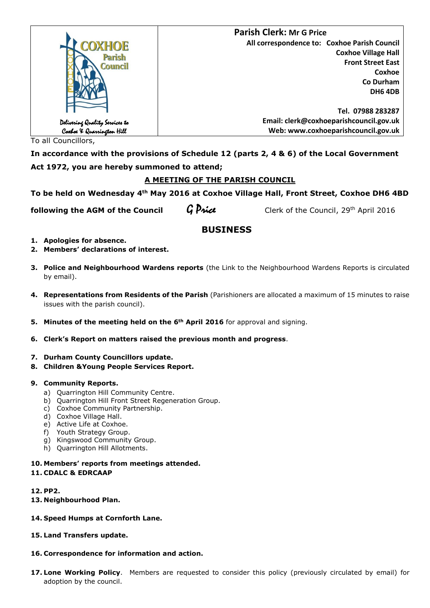|                                                             | <b>Parish Clerk: Mr G Price</b>              |
|-------------------------------------------------------------|----------------------------------------------|
| COXHOE                                                      | All correspondence to: Coxhoe Parish Council |
| Parish<br>Council                                           | <b>Coxhoe Village Hall</b>                   |
|                                                             | <b>Front Street East</b>                     |
|                                                             | Coxhoe                                       |
|                                                             | Co Durham                                    |
|                                                             | <b>DH6 4DB</b>                               |
|                                                             |                                              |
|                                                             | Tel. 07988 283287                            |
|                                                             | Email: clerk@coxhoeparishcouncil.gov.uk      |
| Delivering Quality Services to<br>Coxboe ¥ Quarrington Hill | Web: www.coxhoeparishcouncil.gov.uk          |

To all Councillors,

**In accordance with the provisions of Schedule 12 (parts 2, 4 & 6) of the Local Government Act 1972, you are hereby summoned to attend;**

# **A MEETING OF THE PARISH COUNCIL**

**To be held on Wednesday 4th May 2016 at Coxhoe Village Hall, Front Street, Coxhoe DH6 4BD**

**following the AGM of the Council**  $\mathcal{G}$  *Price* 

Clerk of the Council, 29th April 2016

# **BUSINESS**

- **1. Apologies for absence.**
- **2. Members' declarations of interest.**
- **3. Police and Neighbourhood Wardens reports** (the Link to the Neighbourhood Wardens Reports is circulated by email).
- **4. Representations from Residents of the Parish** (Parishioners are allocated a maximum of 15 minutes to raise issues with the parish council).
- **5. Minutes of the meeting held on the 6th April 2016** for approval and signing.
- **6. Clerk's Report on matters raised the previous month and progress**.
- **7. Durham County Councillors update.**
- **8. Children &Young People Services Report.**

# **9. Community Reports.**

- a) Quarrington Hill Community Centre.
- b) Quarrington Hill Front Street Regeneration Group.
- c) Coxhoe Community Partnership.
- d) Coxhoe Village Hall.
- e) Active Life at Coxhoe.
- f) Youth Strategy Group.
- g) Kingswood Community Group.
- h) Quarrington Hill Allotments.

#### **10. Members' reports from meetings attended. 11. CDALC & EDRCAAP**

**12. PP2.**

- **13. Neighbourhood Plan.**
- **14. Speed Humps at Cornforth Lane.**
- **15. Land Transfers update.**
- **16. Correspondence for information and action.**
- **17. Lone Working Policy**. Members are requested to consider this policy (previously circulated by email) for adoption by the council.